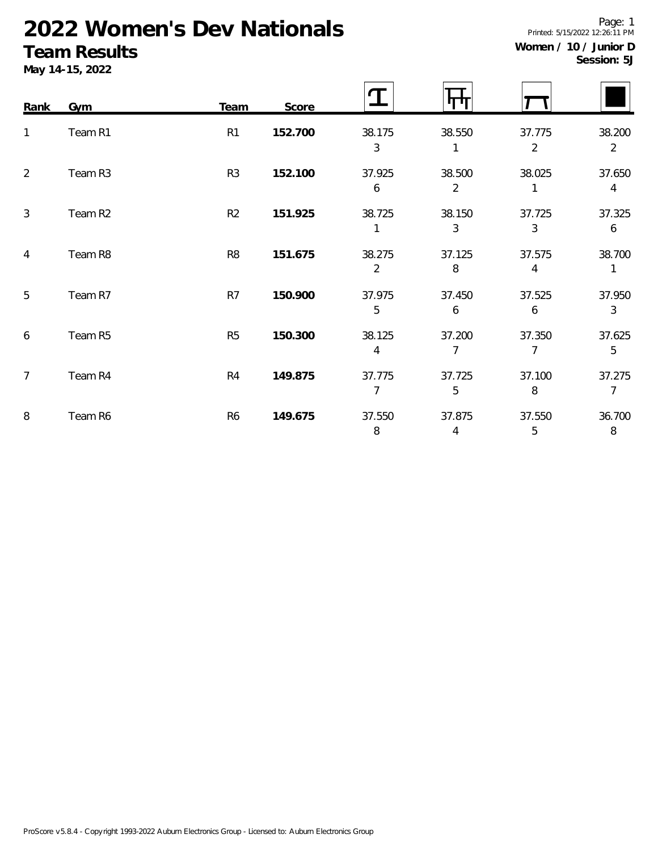# **2022 Women's Dev Nationals**

### **Team Results**

**May 14-15, 2022**

| Women / 10 / Junior D |             |  |
|-----------------------|-------------|--|
|                       | Session: 5J |  |

Printed: 5/15/2022 12:26:11 PM

Page: 1

| Rank           | Gym     | Team           | Score   |                          |             |                          |                          |
|----------------|---------|----------------|---------|--------------------------|-------------|--------------------------|--------------------------|
| 1              | Team R1 | R <sub>1</sub> | 152.700 | 38.175<br>3              | 38.550      | 37.775<br>$\overline{2}$ | 38.200<br>$\overline{2}$ |
| $\overline{2}$ | Team R3 | R <sub>3</sub> | 152.100 | 37.925<br>6              | 38.500<br>2 | 38.025                   | 37.650<br>$\overline{4}$ |
| 3              | Team R2 | R2             | 151.925 | 38.725<br>1              | 38.150<br>3 | 37.725<br>3              | 37.325<br>6              |
| $\overline{4}$ | Team R8 | R <sub>8</sub> | 151.675 | 38.275<br>$\overline{2}$ | 37.125<br>8 | 37.575<br>4              | 38.700<br>$\mathbf{1}$   |
| 5              | Team R7 | R7             | 150.900 | 37.975<br>5              | 37.450<br>6 | 37.525<br>6              | 37.950<br>3              |
| 6              | Team R5 | R <sub>5</sub> | 150.300 | 38.125<br>4              | 37.200<br>7 | 37.350<br>$\overline{7}$ | 37.625<br>5              |
| $\overline{7}$ | Team R4 | R <sub>4</sub> | 149.875 | 37.775<br>7              | 37.725<br>5 | 37.100<br>8              | 37.275<br>$\overline{7}$ |
| 8              | Team R6 | R <sub>6</sub> | 149.675 | 37.550<br>8              | 37.875<br>4 | 37.550<br>5              | 36.700<br>$\,8\,$        |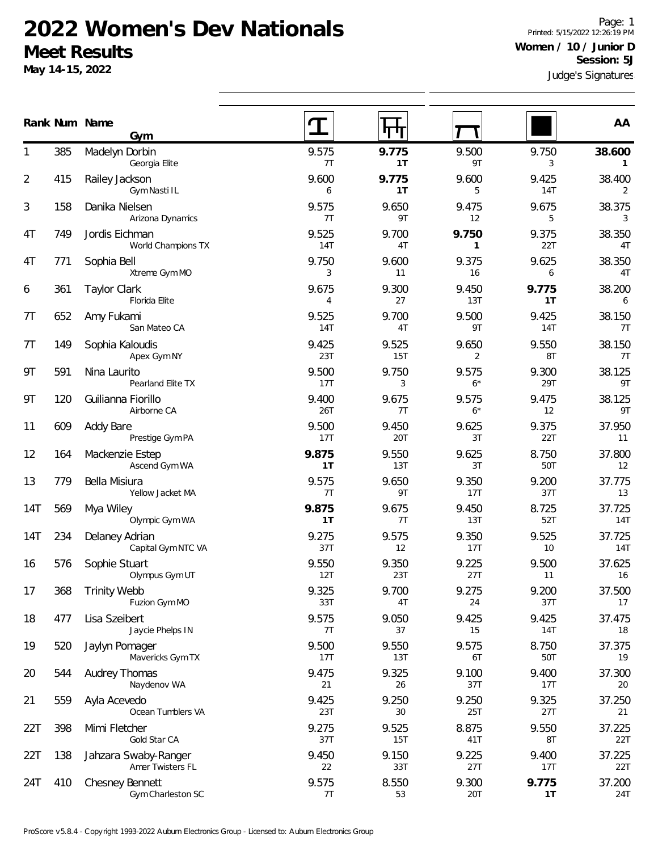#### **2022 Women's Dev Nationals Meet Results**

**Gym**

**May 14-15, 2022**

Judge's Signatures Page: 1 Printed: 5/15/2022 12:26:19 PM **Women / 10 / Junior D Session: 5J**

| 1   | 385 | Madelyn Dorbin<br>Georgia Elite      | 9.575<br>7T         | 9.775<br>1T  | 9.500<br>9T           | 9.750<br>3                 | 38.600<br>1   |
|-----|-----|--------------------------------------|---------------------|--------------|-----------------------|----------------------------|---------------|
| 2   | 415 | Railey Jackson<br>Gym Nasti IL       | 9.600<br>6          | 9.775<br>1T  | 9.600<br>5            | 9.425<br><b>14T</b>        | 38.400<br>2   |
| 3   | 158 | Danika Nielsen<br>Arizona Dynamics   | 9.575<br>7T         | 9.650<br>9T  | 9.475<br>12           | 9.675<br>5                 | 38.375<br>3   |
| 4T  | 749 | Jordis Eichman<br>World Champions TX | 9.525<br><b>14T</b> | 9.700<br>4T  | 9.750<br>$\mathbf{1}$ | 9.375<br>22T               | 38.350<br>4T  |
| 4T  | 771 | Sophia Bell<br>Xtreme Gym MO         | 9.750<br>3          | 9.600<br>11  | 9.375<br>16           | 9.625<br>6                 | 38.350<br>4T  |
| 6   | 361 | <b>Taylor Clark</b><br>Florida Elite | 9.675<br>4          | 9.300<br>27  | 9.450<br>13T          | 9.775<br>1T                | 38.200<br>6   |
| 7T  | 652 | Amy Fukami<br>San Mateo CA           | 9.525<br><b>14T</b> | 9.700<br>4T  | 9.500<br>9T           | 9.425<br>14T               | 38.150<br>7T  |
| 7T  | 149 | Sophia Kaloudis<br>Apex Gym NY       | 9.425<br>23T        | 9.525<br>15T | 9.650<br>2            | 9.550<br>8T                | 38.150<br>7T  |
| 9Τ  | 591 | Nina Laurito<br>Pearland Elite TX    | 9.500<br>17T        | 9.750<br>3   | 9.575<br>$6*$         | 9.300<br>29T               | 38.125<br>9T  |
| 9Τ  | 120 | Guilianna Fiorillo<br>Airborne CA    | 9.400<br>26T        | 9.675<br>7T  | 9.575<br>$6*$         | 9.475<br>$12 \overline{ }$ | 38.125<br>9T  |
| 11  | 609 | Addy Bare<br>Prestige Gym PA         | 9.500<br>17T        | 9.450<br>20T | 9.625<br>3T           | 9.375<br>22T               | 37.950<br>11  |
| 12  | 164 | Mackenzie Estep<br>Ascend Gym WA     | 9.875<br>1T         | 9.550<br>13T | 9.625<br>3T           | 8.750<br>50T               | 37.800<br>12  |
| 13  | 779 | Bella Misiura<br>Yellow Jacket MA    | 9.575<br>7T         | 9.650<br>9T  | 9.350<br>17T          | 9.200<br>37T               | 37.775<br>13  |
| 14T | 569 | Mya Wiley<br>Olympic Gym WA          | 9.875<br>1T         | 9.675<br>7T  | 9.450<br>13T          | 8.725<br>52T               | 37.725<br>14T |
| 14T | 234 | Delaney Adrian<br>Capital Gym NTC VA | 9.275<br>37T        | 9.575<br>12  | 9.350<br>17T          | 9.525<br>10                | 37.725<br>14T |
| 16  | 576 | Sophie Stuart<br>Olympus Gym UT      | 9.550<br>12T        | 9.350<br>23T | 9.225<br>27T          | 9.500<br>11                | 37.625<br>16  |
| 17  | 368 | <b>Trinity Webb</b><br>Fuzion Gym MO | 9.325<br>33T        | 9.700<br>4T  | 9.275<br>24           | 9.200<br>37T               | 37.500<br>17  |
| 18  | 477 | Lisa Szeibert<br>Jaycie Phelps IN    | 9.575<br>7T         | 9.050<br>37  | 9.425<br>15           | 9.425<br>14T               | 37.475<br>18  |
| 19  | 520 | Jaylyn Pomager<br>Mavericks Gym TX   | 9.500<br>17T        | 9.550<br>13T | 9.575<br>6T           | 8.750<br>50T               | 37.375<br>19  |
| 20  | 544 | <b>Audrey Thomas</b><br>Naydenov WA  | 9.475<br>21         | 9.325<br>26  | 9.100<br>37T          | 9.400<br>17T               | 37.300<br>20  |
| 21  | 559 | Ayla Acevedo<br>Ocean Tumblers VA    | 9.425<br>23T        | 9.250<br>30  | 9.250<br>25T          | 9.325<br>27T               | 37.250<br>21  |
| 22T | 398 | Mimi Fletcher                        | 9.275               | 9.525        | 8.875                 | 9.550                      | 37.225        |

138 Jahzara Swaby-Ranger 22T 9.450 9.150 9.225 9.400 37.225

410 Chesney Bennett 24T 9.575 8.550 9.300 **9.775** 37.200

37T 15T 41T 8T 22T

22 33T 27T 17T 22T

7T 53 20T **1T** 24T

**Num Name Rank AA**

Gold Star CA

Amer Twisters FL

Gym Charleston SC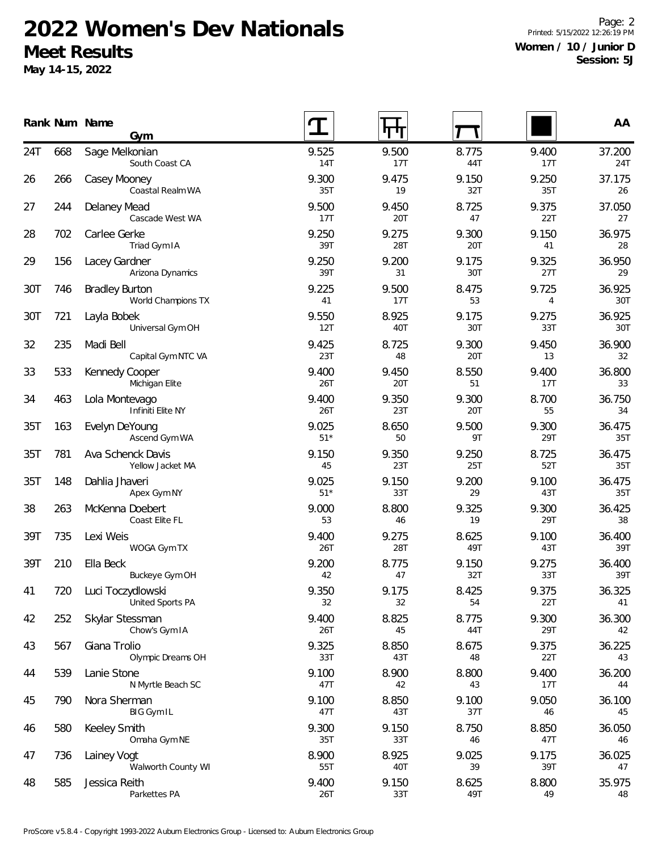## **2022 Women's Dev Nationals Meet Results**

**May 14-15, 2022**

Page: 2 Printed: 5/15/2022 12:26:19 PM **Women / 10 / Junior D Session: 5J**

|     |     | Rank Num Name<br>Gym                        |                |              |              |              | AA            |
|-----|-----|---------------------------------------------|----------------|--------------|--------------|--------------|---------------|
| 24T | 668 | Sage Melkonian<br>South Coast CA            | 9.525<br>14T   | 9.500<br>17T | 8.775<br>44T | 9.400<br>17T | 37.200<br>24T |
| 26  | 266 | Casey Mooney<br>Coastal Realm WA            | 9.300<br>35T   | 9.475<br>19  | 9.150<br>32T | 9.250<br>35T | 37.175<br>26  |
| 27  | 244 | Delaney Mead<br>Cascade West WA             | 9.500<br>17T   | 9.450<br>20T | 8.725<br>47  | 9.375<br>22T | 37.050<br>27  |
| 28  | 702 | Carlee Gerke<br>Triad Gym IA                | 9.250<br>39T   | 9.275<br>28T | 9.300<br>20T | 9.150<br>41  | 36.975<br>28  |
| 29  | 156 | Lacey Gardner<br>Arizona Dynamics           | 9.250<br>39T   | 9.200<br>31  | 9.175<br>30T | 9.325<br>27T | 36.950<br>29  |
| 30T | 746 | <b>Bradley Burton</b><br>World Champions TX | 9.225<br>41    | 9.500<br>17T | 8.475<br>53  | 9.725<br>4   | 36.925<br>30T |
| 30T | 721 | Layla Bobek<br>Universal Gym OH             | 9.550<br>12T   | 8.925<br>40T | 9.175<br>30T | 9.275<br>33T | 36.925<br>30T |
| 32  | 235 | Madi Bell<br>Capital Gym NTC VA             | 9.425<br>23T   | 8.725<br>48  | 9.300<br>20T | 9.450<br>13  | 36.900<br>32  |
| 33  | 533 | Kennedy Cooper<br>Michigan Elite            | 9.400<br>26T   | 9.450<br>20T | 8.550<br>51  | 9.400<br>17T | 36.800<br>33  |
| 34  | 463 | Lola Montevago<br>Infiniti Elite NY         | 9.400<br>26T   | 9.350<br>23T | 9.300<br>20T | 8.700<br>55  | 36.750<br>34  |
| 35T | 163 | Evelyn DeYoung<br>Ascend Gym WA             | 9.025<br>$51*$ | 8.650<br>50  | 9.500<br>9T  | 9.300<br>29T | 36.475<br>35T |
| 35T | 781 | Ava Schenck Davis<br>Yellow Jacket MA       | 9.150<br>45    | 9.350<br>23T | 9.250<br>25T | 8.725<br>52T | 36.475<br>35T |
| 35T | 148 | Dahlia Jhaveri<br>Apex Gym NY               | 9.025<br>$51*$ | 9.150<br>33T | 9.200<br>29  | 9.100<br>43T | 36.475<br>35T |
| 38  | 263 | McKenna Doebert<br>Coast Elite FL           | 9.000<br>53    | 8.800<br>46  | 9.325<br>19  | 9.300<br>29T | 36.425<br>38  |
| 39T | 735 | Lexi Weis<br>WOGA Gym TX                    | 9.400<br>26T   | 9.275<br>28T | 8.625<br>49T | 9.100<br>43T | 36.400<br>39T |
| 39T | 210 | Ella Beck<br>Buckeye Gym OH                 | 9.200<br>42    | 8.775<br>47  | 9.150<br>32T | 9.275<br>33T | 36.400<br>39T |
| 41  | 720 | Luci Toczydlowski<br>United Sports PA       | 9.350<br>32    | 9.175<br>32  | 8.425<br>54  | 9.375<br>22T | 36.325<br>41  |
| 42  | 252 | Skylar Stessman<br>Chow's Gym IA            | 9.400<br>26T   | 8.825<br>45  | 8.775<br>44T | 9.300<br>29T | 36.300<br>42  |
| 43  | 567 | Giana Trolio<br>Olympic Dreams OH           | 9.325<br>33T   | 8.850<br>43T | 8.675<br>48  | 9.375<br>22T | 36.225<br>43  |
| 44  | 539 | Lanie Stone<br>N Myrtle Beach SC            | 9.100<br>47T   | 8.900<br>42  | 8.800<br>43  | 9.400<br>17T | 36.200<br>44  |
| 45  | 790 | Nora Sherman<br><b>BIG Gym IL</b>           | 9.100<br>47T   | 8.850<br>43T | 9.100<br>37T | 9.050<br>46  | 36.100<br>45  |
| 46  | 580 | <b>Keeley Smith</b><br>Omaha Gym NE         | 9.300<br>35T   | 9.150<br>33T | 8.750<br>46  | 8.850<br>47T | 36.050<br>46  |
| 47  | 736 | Lainey Vogt<br>Walworth County WI           | 8.900<br>55T   | 8.925<br>40T | 9.025<br>39  | 9.175<br>39T | 36.025<br>47  |
| 48  | 585 | Jessica Reith<br>Parkettes PA               | 9.400<br>26T   | 9.150<br>33T | 8.625<br>49T | 8.800<br>49  | 35.975<br>48  |